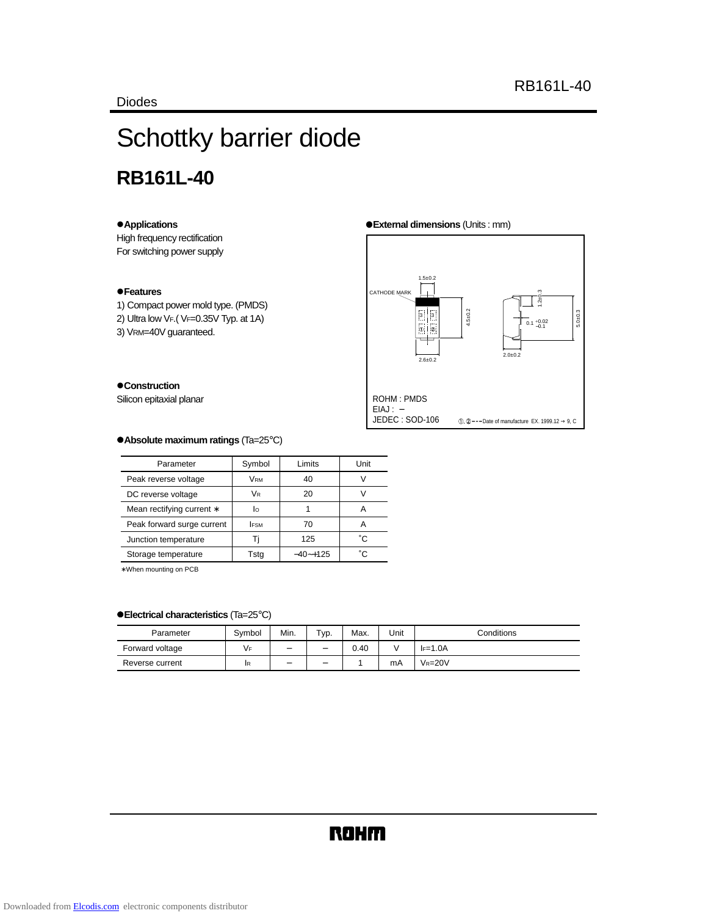# Schottky barrier diode **RB161L-40**

# z**Applications**

High frequency rectification For switching power supply

# z**Features**

1) Compact power mold type. (PMDS)

- 2) Ultra low VF.( VF=0.35V Typ. at 1A)
- 3) VRM=40V guaranteed.

 $\bullet$  Construction Silicon epitaxial planar

#### z**External dimensions** (Units : mm)



## z**Absolute maximum ratings** (Ta=25°C)

| Parameter                  | Symbol      | Limits       | Unit |
|----------------------------|-------------|--------------|------|
| Peak reverse voltage       | VRM         | 40           |      |
| DC reverse voltage         | <b>VR</b>   | 20           | V    |
| Mean rectifying current *  | lо          |              | А    |
| Peak forward surge current | <b>IFSM</b> | 70           | А    |
| Junction temperature       | н           | 125          | °C.  |
| Storage temperature        | Tsta        | $-40 - +125$ | °C   |

∗ When mounting on PCB

# z**Electrical characteristics** (Ta=25°C)

| Parameter       | Symbol | Min.                     | $TVP$ .                  | Max. | Unit | Conditions  |
|-----------------|--------|--------------------------|--------------------------|------|------|-------------|
| Forward voltage | ۷F     | $\overline{\phantom{a}}$ | $\overline{\phantom{0}}$ | 0.40 |      | $F=1.0A$    |
| Reverse current | ΙR     | $\overline{\phantom{a}}$ | $\overline{\phantom{a}}$ |      | mA   | $V_R = 20V$ |